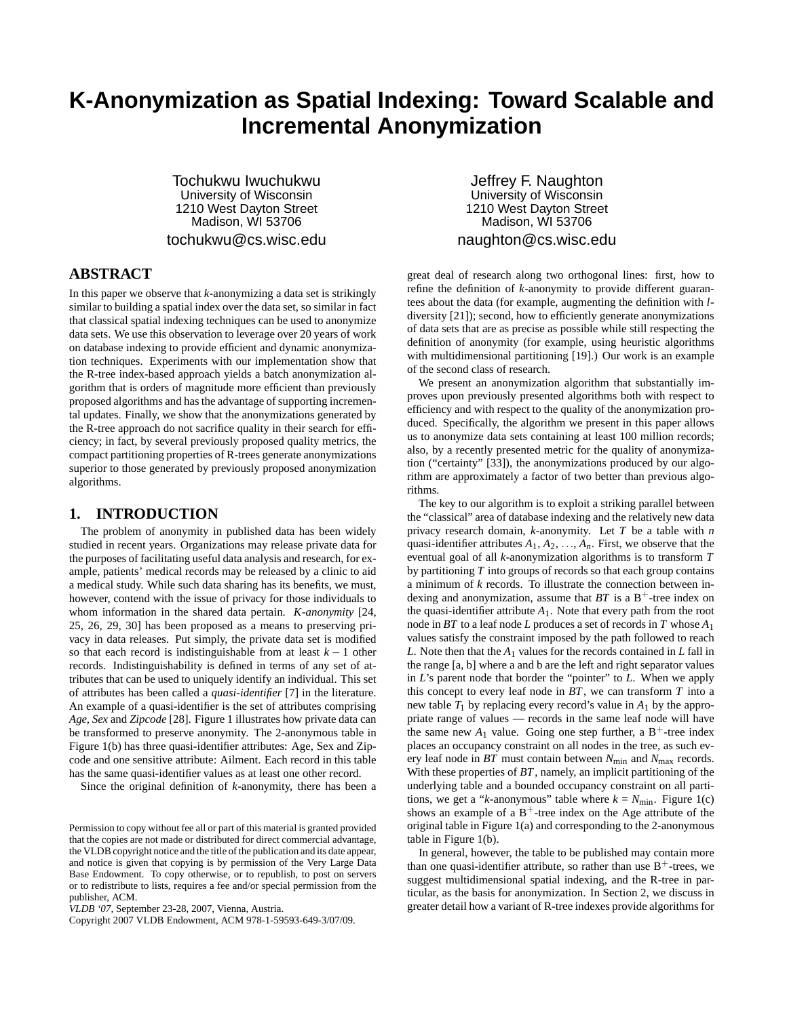# **K-Anonymization as Spatial Indexing: Toward Scalable and Incremental Anonymization**

Tochukwu Iwuchukwu University of Wisconsin 1210 West Dayton Street Madison, WI 53706 tochukwu@cs.wisc.edu

# **ABSTRACT**

In this paper we observe that *k*-anonymizing a data set is strikingly similar to building a spatial index over the data set, so similar in fact that classical spatial indexing techniques can be used to anonymize data sets. We use this observation to leverage over 20 years of work on database indexing to provide efficient and dynamic anonymization techniques. Experiments with our implementation show that the R-tree index-based approach yields a batch anonymization algorithm that is orders of magnitude more efficient than previously proposed algorithms and has the advantage of supporting incremental updates. Finally, we show that the anonymizations generated by the R-tree approach do not sacrifice quality in their search for efficiency; in fact, by several previously proposed quality metrics, the compact partitioning properties of R-trees generate anonymizations superior to those generated by previously proposed anonymization algorithms.

#### **1. INTRODUCTION**

The problem of anonymity in published data has been widely studied in recent years. Organizations may release private data for the purposes of facilitating useful data analysis and research, for example, patients' medical records may be released by a clinic to aid a medical study. While such data sharing has its benefits, we must, however, contend with the issue of privacy for those individuals to whom information in the shared data pertain. *K-anonymity* [24, 25, 26, 29, 30] has been proposed as a means to preserving privacy in data releases. Put simply, the private data set is modified so that each record is indistinguishable from at least *k* − 1 other records. Indistinguishability is defined in terms of any set of attributes that can be used to uniquely identify an individual. This set of attributes has been called a *quasi-identifier* [7] in the literature. An example of a quasi-identifier is the set of attributes comprising *Age, Sex* and *Zipcode* [28]. Figure 1 illustrates how private data can be transformed to preserve anonymity. The 2-anonymous table in Figure 1(b) has three quasi-identifier attributes: Age, Sex and Zipcode and one sensitive attribute: Ailment. Each record in this table has the same quasi-identifier values as at least one other record.

Since the original definition of *k*-anonymity, there has been a

Jeffrey F. Naughton University of Wisconsin 1210 West Dayton Street Madison, WI 53706 naughton@cs.wisc.edu

great deal of research along two orthogonal lines: first, how to refine the definition of *k*-anonymity to provide different guarantees about the data (for example, augmenting the definition with *l*diversity [21]); second, how to efficiently generate anonymizations of data sets that are as precise as possible while still respecting the definition of anonymity (for example, using heuristic algorithms with multidimensional partitioning [19].) Our work is an example of the second class of research.

We present an anonymization algorithm that substantially improves upon previously presented algorithms both with respect to efficiency and with respect to the quality of the anonymization produced. Specifically, the algorithm we present in this paper allows us to anonymize data sets containing at least 100 million records; also, by a recently presented metric for the quality of anonymization ("certainty" [33]), the anonymizations produced by our algorithm are approximately a factor of two better than previous algorithms.

The key to our algorithm is to exploit a striking parallel between the "classical" area of database indexing and the relatively new data privacy research domain, *k*-anonymity. Let *T* be a table with *n* quasi-identifier attributes  $A_1, A_2, \ldots, A_n$ . First, we observe that the eventual goal of all *k*-anonymization algorithms is to transform *T* by partitioning *T* into groups of records so that each group contains a minimum of *k* records. To illustrate the connection between indexing and anonymization, assume that  $BT$  is a  $B^+$ -tree index on the quasi-identifier attribute  $A_1$ . Note that every path from the root node in *BT* to a leaf node *L* produces a set of records in *T* whose *A*<sup>1</sup> values satisfy the constraint imposed by the path followed to reach *L*. Note then that the *A*<sup>1</sup> values for the records contained in *L* fall in the range [a, b] where a and b are the left and right separator values in *L*'s parent node that border the "pointer" to *L*. When we apply this concept to every leaf node in *BT*, we can transform *T* into a new table  $T_1$  by replacing every record's value in  $A_1$  by the appropriate range of values — records in the same leaf node will have the same new  $A_1$  value. Going one step further, a  $B^+$ -tree index places an occupancy constraint on all nodes in the tree, as such every leaf node in *BT* must contain between *N*min and *N*max records. With these properties of *BT*, namely, an implicit partitioning of the underlying table and a bounded occupancy constraint on all partitions, we get a "*k*-anonymous" table where  $k = N_{\text{min}}$ . Figure 1(c) shows an example of a  $B^+$ -tree index on the Age attribute of the original table in Figure 1(a) and corresponding to the 2-anonymous table in Figure 1(b).

In general, however, the table to be published may contain more than one quasi-identifier attribute, so rather than use  $B^+$ -trees, we suggest multidimensional spatial indexing, and the R-tree in particular, as the basis for anonymization. In Section 2, we discuss in greater detail how a variant of R-tree indexes provide algorithms for

Permission to copy without fee all or part of this material is granted provided that the copies are not made or distributed for direct commercial advantage, the VLDB copyright notice and the title of the publication and its date appear, and notice is given that copying is by permission of the Very Large Data Base Endowment. To copy otherwise, or to republish, to post on servers or to redistribute to lists, requires a fee and/or special permission from the publisher, ACM.

*VLDB '07,* September 23-28, 2007, Vienna, Austria.

Copyright 2007 VLDB Endowment, ACM 978-1-59593-649-3/07/09.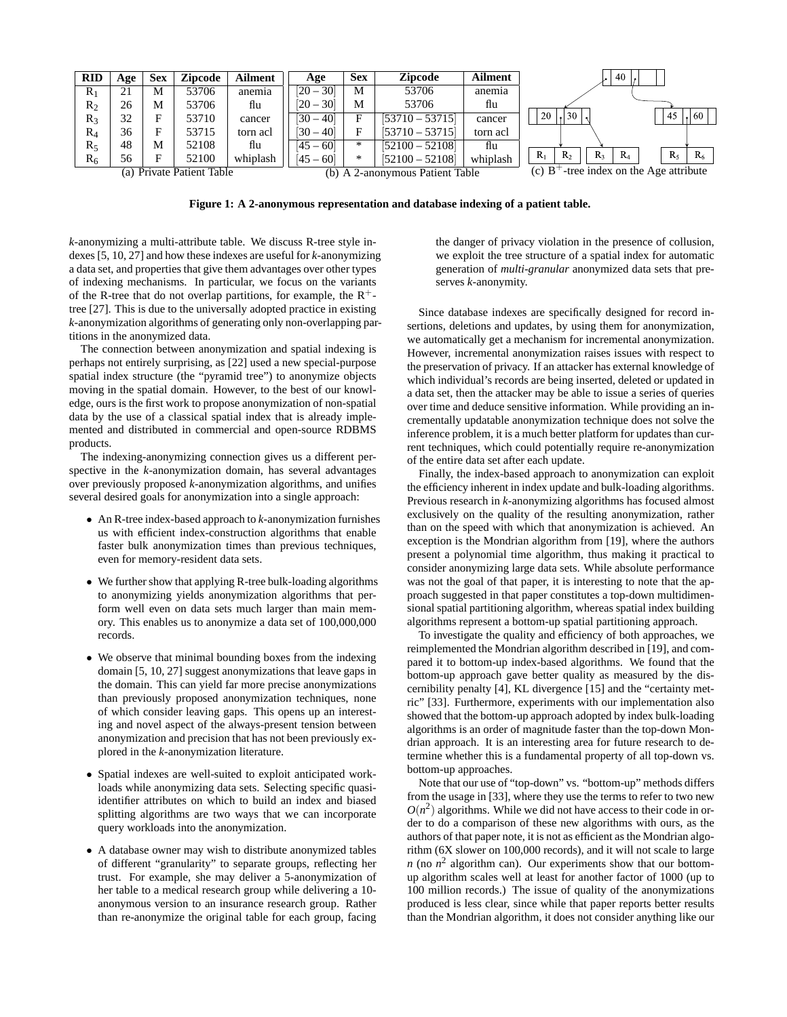| <b>RID</b>                   | Age | Sex | <b>Zipcode</b> | <b>Ailment</b>                  | Age         | <b>Sex</b> | <b>Zipcode</b>    | <b>Ailment</b>                             | $140$ .                                              |
|------------------------------|-----|-----|----------------|---------------------------------|-------------|------------|-------------------|--------------------------------------------|------------------------------------------------------|
| $R_1$                        | 21  | М   | 53706          | anemia                          | $[20 - 30]$ | М          | 53706             | anemia                                     |                                                      |
| $R_2$                        | 26  | М   | 53706          | flu                             | $[20 - 30]$ | М          | 53706             | flu                                        |                                                      |
| $R_3$                        | 32  | Е   | 53710          | cancer                          | $[30 - 40]$ | Е          | $[53710 - 53715]$ | cancer                                     | 30 <sup>1</sup><br>20<br>60<br>45                    |
| $R_4$                        | 36  | Е   | 53715          | torn acl                        | $[30 - 40]$ | Е          | $[53710 - 53715]$ | torn acl                                   |                                                      |
| $R_5$                        | 48  | М   | 52108          | flu                             | $[45 - 60]$ | *          | $[52100 - 52108]$ | flu                                        |                                                      |
| $R_6$                        | 56  | E   | 52100          | whiplash                        | $[45 - 60]$ | $*$        | $[52100 - 52108]$ | whiplash                                   | $R_1$<br>$R_3$<br>$R_5$<br>$R_{2}$<br>$R_4$<br>$R_6$ |
| Private Patient Table<br>(a) |     |     |                | (b) A 2-anonymous Patient Table |             |            |                   | (c) $B^+$ -tree index on the Age attribute |                                                      |

**Figure 1: A 2-anonymous representation and database indexing of a patient table.**

*k*-anonymizing a multi-attribute table. We discuss R-tree style indexes [5, 10, 27] and how these indexes are useful for *k*-anonymizing a data set, and properties that give them advantages over other types of indexing mechanisms. In particular, we focus on the variants of the R-tree that do not overlap partitions, for example, the  $R^+$ tree [27]. This is due to the universally adopted practice in existing *k*-anonymization algorithms of generating only non-overlapping partitions in the anonymized data.

The connection between anonymization and spatial indexing is perhaps not entirely surprising, as [22] used a new special-purpose spatial index structure (the "pyramid tree") to anonymize objects moving in the spatial domain. However, to the best of our knowledge, ours is the first work to propose anonymization of non-spatial data by the use of a classical spatial index that is already implemented and distributed in commercial and open-source RDBMS products.

The indexing-anonymizing connection gives us a different perspective in the *k*-anonymization domain, has several advantages over previously proposed *k*-anonymization algorithms, and unifies several desired goals for anonymization into a single approach:

- An R-tree index-based approach to *k*-anonymization furnishes us with efficient index-construction algorithms that enable faster bulk anonymization times than previous techniques, even for memory-resident data sets.
- We further show that applying R-tree bulk-loading algorithms to anonymizing yields anonymization algorithms that perform well even on data sets much larger than main memory. This enables us to anonymize a data set of 100,000,000 records.
- We observe that minimal bounding boxes from the indexing domain [5, 10, 27] suggest anonymizations that leave gaps in the domain. This can yield far more precise anonymizations than previously proposed anonymization techniques, none of which consider leaving gaps. This opens up an interesting and novel aspect of the always-present tension between anonymization and precision that has not been previously explored in the *k*-anonymization literature.
- Spatial indexes are well-suited to exploit anticipated workloads while anonymizing data sets. Selecting specific quasiidentifier attributes on which to build an index and biased splitting algorithms are two ways that we can incorporate query workloads into the anonymization.
- A database owner may wish to distribute anonymized tables of different "granularity" to separate groups, reflecting her trust. For example, she may deliver a 5-anonymization of her table to a medical research group while delivering a 10 anonymous version to an insurance research group. Rather than re-anonymize the original table for each group, facing

the danger of privacy violation in the presence of collusion, we exploit the tree structure of a spatial index for automatic generation of *multi-granular* anonymized data sets that preserves *k*-anonymity.

Since database indexes are specifically designed for record insertions, deletions and updates, by using them for anonymization, we automatically get a mechanism for incremental anonymization. However, incremental anonymization raises issues with respect to the preservation of privacy. If an attacker has external knowledge of which individual's records are being inserted, deleted or updated in a data set, then the attacker may be able to issue a series of queries over time and deduce sensitive information. While providing an incrementally updatable anonymization technique does not solve the inference problem, it is a much better platform for updates than current techniques, which could potentially require re-anonymization of the entire data set after each update.

Finally, the index-based approach to anonymization can exploit the efficiency inherent in index update and bulk-loading algorithms. Previous research in *k*-anonymizing algorithms has focused almost exclusively on the quality of the resulting anonymization, rather than on the speed with which that anonymization is achieved. An exception is the Mondrian algorithm from [19], where the authors present a polynomial time algorithm, thus making it practical to consider anonymizing large data sets. While absolute performance was not the goal of that paper, it is interesting to note that the approach suggested in that paper constitutes a top-down multidimensional spatial partitioning algorithm, whereas spatial index building algorithms represent a bottom-up spatial partitioning approach.

To investigate the quality and efficiency of both approaches, we reimplemented the Mondrian algorithm described in [19], and compared it to bottom-up index-based algorithms. We found that the bottom-up approach gave better quality as measured by the discernibility penalty [4], KL divergence [15] and the "certainty metric" [33]. Furthermore, experiments with our implementation also showed that the bottom-up approach adopted by index bulk-loading algorithms is an order of magnitude faster than the top-down Mondrian approach. It is an interesting area for future research to determine whether this is a fundamental property of all top-down vs. bottom-up approaches.

Note that our use of "top-down" vs. "bottom-up" methods differs from the usage in [33], where they use the terms to refer to two new  $O(n^2)$  algorithms. While we did not have access to their code in order to do a comparison of these new algorithms with ours, as the authors of that paper note, it is not as efficient as the Mondrian algorithm (6X slower on 100,000 records), and it will not scale to large *n* (no  $n^2$  algorithm can). Our experiments show that our bottomup algorithm scales well at least for another factor of 1000 (up to 100 million records.) The issue of quality of the anonymizations produced is less clear, since while that paper reports better results than the Mondrian algorithm, it does not consider anything like our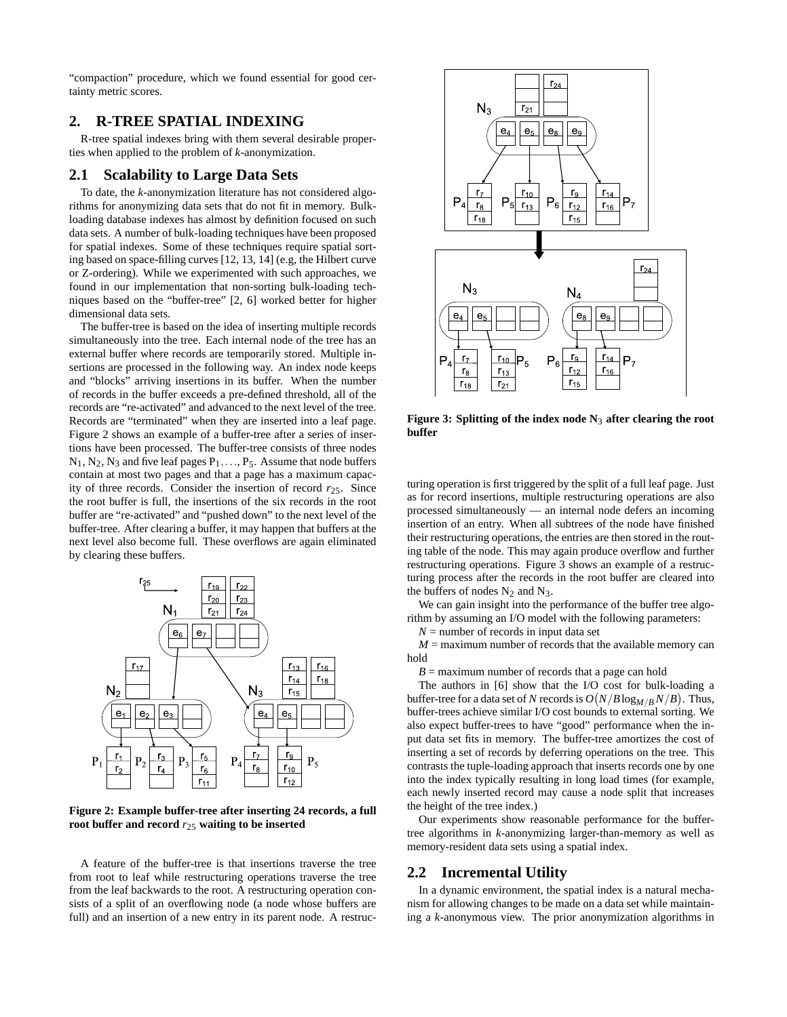"compaction" procedure, which we found essential for good certainty metric scores.

# **2. R-TREE SPATIAL INDEXING**

R-tree spatial indexes bring with them several desirable properties when applied to the problem of *k*-anonymization.

# **2.1 Scalability to Large Data Sets**

To date, the *k*-anonymization literature has not considered algorithms for anonymizing data sets that do not fit in memory. Bulkloading database indexes has almost by definition focused on such data sets. A number of bulk-loading techniques have been proposed for spatial indexes. Some of these techniques require spatial sorting based on space-filling curves [12, 13, 14] (e.g, the Hilbert curve or Z-ordering). While we experimented with such approaches, we found in our implementation that non-sorting bulk-loading techniques based on the "buffer-tree" [2, 6] worked better for higher dimensional data sets.

The buffer-tree is based on the idea of inserting multiple records simultaneously into the tree. Each internal node of the tree has an external buffer where records are temporarily stored. Multiple insertions are processed in the following way. An index node keeps and "blocks" arriving insertions in its buffer. When the number of records in the buffer exceeds a pre-defined threshold, all of the records are "re-activated" and advanced to the next level of the tree. Records are "terminated" when they are inserted into a leaf page. Figure 2 shows an example of a buffer-tree after a series of insertions have been processed. The buffer-tree consists of three nodes  $N_1, N_2, N_3$  and five leaf pages  $P_1, \ldots, P_5$ . Assume that node buffers contain at most two pages and that a page has a maximum capacity of three records. Consider the insertion of record *r*25. Since the root buffer is full, the insertions of the six records in the root buffer are "re-activated" and "pushed down" to the next level of the buffer-tree. After clearing a buffer, it may happen that buffers at the next level also become full. These overflows are again eliminated by clearing these buffers.



**Figure 2: Example buffer-tree after inserting 24 records, a full root buffer and record** *r*<sup>25</sup> **waiting to be inserted**

A feature of the buffer-tree is that insertions traverse the tree from root to leaf while restructuring operations traverse the tree from the leaf backwards to the root. A restructuring operation consists of a split of an overflowing node (a node whose buffers are full) and an insertion of a new entry in its parent node. A restruc-



**Figure 3: Splitting of the index node N**<sup>3</sup> **after clearing the root buffer**

turing operation is first triggered by the split of a full leaf page. Just as for record insertions, multiple restructuring operations are also processed simultaneously — an internal node defers an incoming insertion of an entry. When all subtrees of the node have finished their restructuring operations, the entries are then stored in the routing table of the node. This may again produce overflow and further restructuring operations. Figure 3 shows an example of a restructuring process after the records in the root buffer are cleared into the buffers of nodes  $N_2$  and  $N_3$ .

We can gain insight into the performance of the buffer tree algorithm by assuming an I/O model with the following parameters:

 $N =$  number of records in input data set

 $M =$  maximum number of records that the available memory can hold

 $B =$  maximum number of records that a page can hold

The authors in [6] show that the I/O cost for bulk-loading a buffer-tree for a data set of *N* records is  $O\big(N/B\log_{M/B}N/B\big)$ . Thus, buffer-trees achieve similar I/O cost bounds to external sorting. We also expect buffer-trees to have "good" performance when the input data set fits in memory. The buffer-tree amortizes the cost of inserting a set of records by deferring operations on the tree. This contrasts the tuple-loading approach that inserts records one by one into the index typically resulting in long load times (for example, each newly inserted record may cause a node split that increases the height of the tree index.)

Our experiments show reasonable performance for the buffertree algorithms in *k*-anonymizing larger-than-memory as well as memory-resident data sets using a spatial index.

## **2.2 Incremental Utility**

In a dynamic environment, the spatial index is a natural mechanism for allowing changes to be made on a data set while maintaining a *k*-anonymous view. The prior anonymization algorithms in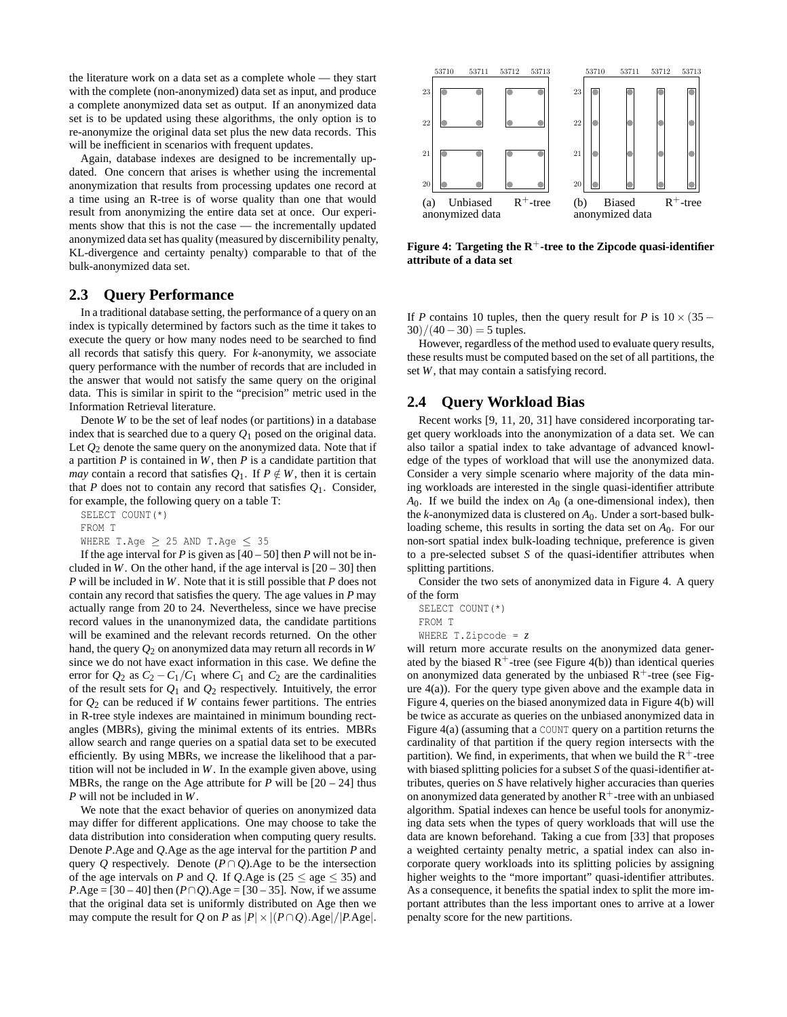the literature work on a data set as a complete whole — they start with the complete (non-anonymized) data set as input, and produce a complete anonymized data set as output. If an anonymized data set is to be updated using these algorithms, the only option is to re-anonymize the original data set plus the new data records. This will be inefficient in scenarios with frequent updates.

Again, database indexes are designed to be incrementally updated. One concern that arises is whether using the incremental anonymization that results from processing updates one record at a time using an R-tree is of worse quality than one that would result from anonymizing the entire data set at once. Our experiments show that this is not the case — the incrementally updated anonymized data set has quality (measured by discernibility penalty, KL-divergence and certainty penalty) comparable to that of the bulk-anonymized data set.

#### **2.3 Query Performance**

In a traditional database setting, the performance of a query on an index is typically determined by factors such as the time it takes to execute the query or how many nodes need to be searched to find all records that satisfy this query. For *k*-anonymity, we associate query performance with the number of records that are included in the answer that would not satisfy the same query on the original data. This is similar in spirit to the "precision" metric used in the Information Retrieval literature.

Denote *W* to be the set of leaf nodes (or partitions) in a database index that is searched due to a query  $O_1$  posed on the original data. Let  $Q_2$  denote the same query on the anonymized data. Note that if a partition *P* is contained in *W*, then *P* is a candidate partition that *may* contain a record that satisfies  $Q_1$ . If  $P \notin W$ , then it is certain that *P* does not to contain any record that satisfies  $Q_1$ . Consider, for example, the following query on a table T:

SELECT COUNT(\*)

FROM T

WHERE T.Age  $\geq$  25 AND T.Age  $\leq$  35

If the age interval for *P* is given as  $[40 - 50]$  then *P* will not be included in *W*. On the other hand, if the age interval is  $[20 - 30]$  then *P* will be included in *W*. Note that it is still possible that *P* does not contain any record that satisfies the query. The age values in *P* may actually range from 20 to 24. Nevertheless, since we have precise record values in the unanonymized data, the candidate partitions will be examined and the relevant records returned. On the other hand, the query *Q*<sup>2</sup> on anonymized data may return all records in *W* since we do not have exact information in this case. We define the error for  $Q_2$  as  $C_2 - C_1/C_1$  where  $C_1$  and  $C_2$  are the cardinalities of the result sets for *Q*<sup>1</sup> and *Q*<sup>2</sup> respectively. Intuitively, the error for  $Q_2$  can be reduced if *W* contains fewer partitions. The entries in R-tree style indexes are maintained in minimum bounding rectangles (MBRs), giving the minimal extents of its entries. MBRs allow search and range queries on a spatial data set to be executed efficiently. By using MBRs, we increase the likelihood that a partition will not be included in *W*. In the example given above, using MBRs, the range on the Age attribute for  $P$  will be  $[20 - 24]$  thus *P* will not be included in *W*.

We note that the exact behavior of queries on anonymized data may differ for different applications. One may choose to take the data distribution into consideration when computing query results. Denote *P*.Age and *Q*.Age as the age interval for the partition *P* and query *Q* respectively. Denote  $(P \cap Q)$ . Age to be the intersection of the age intervals on *P* and *Q*. If *Q*.Age is (25  $\leq$  age  $\leq$  35) and *P*.Age = [30 – 40] then  $(P \cap Q)$ .Age = [30 – 35]. Now, if we assume that the original data set is uniformly distributed on Age then we may compute the result for *Q* on *P* as  $|P| \times |(P \cap Q) \text{.} \text{Age}|/|P \text{.} \text{Age}|$ .



**Figure 4: Targeting the**  $R^+$ **-tree to the Zipcode quasi-identifier attribute of a data set**

If *P* contains 10 tuples, then the query result for *P* is  $10 \times (35 30)/(40-30) = 5$  tuples.

However, regardless of the method used to evaluate query results, these results must be computed based on the set of all partitions, the set *W*, that may contain a satisfying record.

# **2.4 Query Workload Bias**

Recent works [9, 11, 20, 31] have considered incorporating target query workloads into the anonymization of a data set. We can also tailor a spatial index to take advantage of advanced knowledge of the types of workload that will use the anonymized data. Consider a very simple scenario where majority of the data mining workloads are interested in the single quasi-identifier attribute  $A_0$ . If we build the index on  $A_0$  (a one-dimensional index), then the *k*-anonymized data is clustered on *A*0. Under a sort-based bulkloading scheme, this results in sorting the data set on *A*0. For our non-sort spatial index bulk-loading technique, preference is given to a pre-selected subset *S* of the quasi-identifier attributes when splitting partitions.

Consider the two sets of anonymized data in Figure 4. A query of the form

SELECT COUNT(\*)

FROM T

WHERE T.Zipcode = *z*

will return more accurate results on the anonymized data generated by the biased  $R^+$ -tree (see Figure 4(b)) than identical queries on anonymized data generated by the unbiased  $R^+$ -tree (see Figure 4(a)). For the query type given above and the example data in Figure 4, queries on the biased anonymized data in Figure 4(b) will be twice as accurate as queries on the unbiased anonymized data in Figure 4(a) (assuming that a COUNT query on a partition returns the cardinality of that partition if the query region intersects with the partition). We find, in experiments, that when we build the  $R^+$ -tree with biased splitting policies for a subset *S* of the quasi-identifier attributes, queries on *S* have relatively higher accuracies than queries on anonymized data generated by another  $R^+$ -tree with an unbiased algorithm. Spatial indexes can hence be useful tools for anonymizing data sets when the types of query workloads that will use the data are known beforehand. Taking a cue from [33] that proposes a weighted certainty penalty metric, a spatial index can also incorporate query workloads into its splitting policies by assigning higher weights to the "more important" quasi-identifier attributes. As a consequence, it benefits the spatial index to split the more important attributes than the less important ones to arrive at a lower penalty score for the new partitions.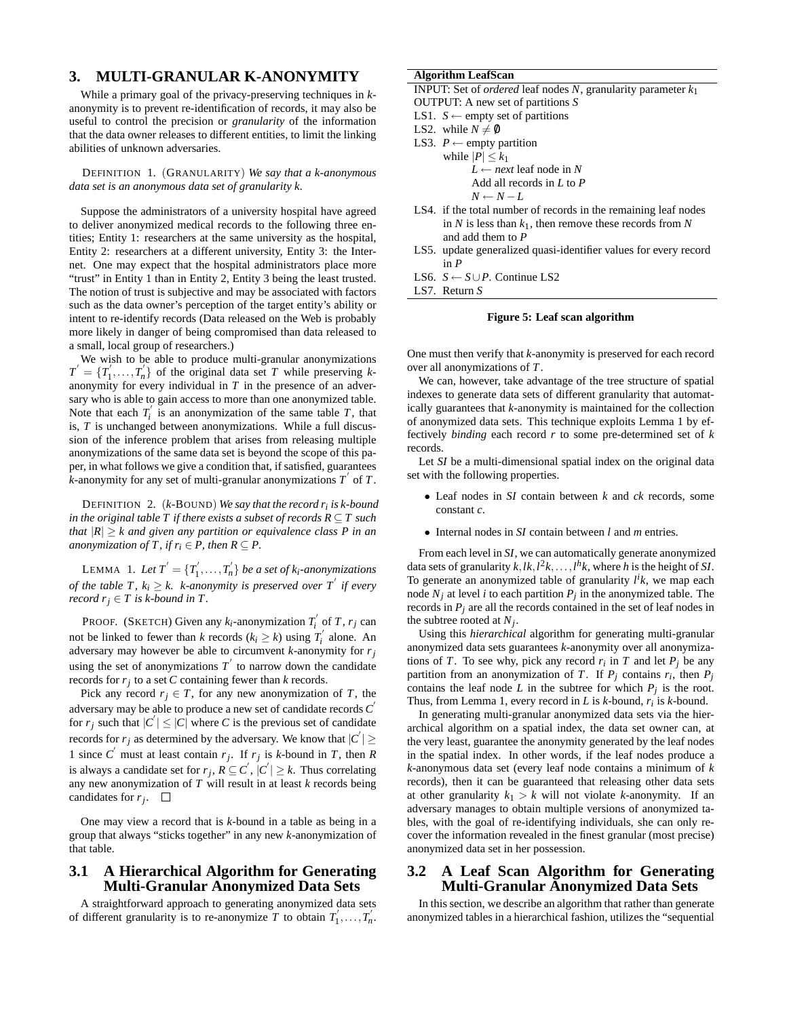## **3. MULTI-GRANULAR K-ANONYMITY**

While a primary goal of the privacy-preserving techniques in *k*anonymity is to prevent re-identification of records, it may also be useful to control the precision or *granularity* of the information that the data owner releases to different entities, to limit the linking abilities of unknown adversaries.

DEFINITION 1. (GRANULARITY) *We say that a k-anonymous data set is an anonymous data set of granularity k.*

Suppose the administrators of a university hospital have agreed to deliver anonymized medical records to the following three entities; Entity 1: researchers at the same university as the hospital, Entity 2: researchers at a different university, Entity 3: the Internet. One may expect that the hospital administrators place more "trust" in Entity 1 than in Entity 2, Entity 3 being the least trusted. The notion of trust is subjective and may be associated with factors such as the data owner's perception of the target entity's ability or intent to re-identify records (Data released on the Web is probably more likely in danger of being compromised than data released to a small, local group of researchers.)

We wish to be able to produce multi-granular anonymizations  $T' = \{T'_1, \ldots, T'_n\}$  of the original data set *T* while preserving *k*anonymity for every individual in *T* in the presence of an adversary who is able to gain access to more than one anonymized table. Note that each  $T_i'$  is an anonymization of the same table  $T$ , that is, *T* is unchanged between anonymizations. While a full discussion of the inference problem that arises from releasing multiple anonymizations of the same data set is beyond the scope of this paper, in what follows we give a condition that, if satisfied, guarantees  $\vec{k}$ -anonymity for any set of multi-granular anonymizations  $T'$  of  $T$ .

DEFINITION 2. (*k-*BOUND) *We say that the record ri is k-bound in the original table T if there exists a subset of records*  $R \subseteq T$  *such that*  $|R| > k$  *and given any partition or equivalence class P in an anonymization of T, if*  $r_i \in P$ *, then*  $R \subseteq P$ *.* 

LEMMA 1. Let  $T' = \{T'_1, \ldots, T'_n\}$  be a set of  $k_i$ -anonymizations *of the table T,*  $k_i \geq k$ *. k-anonymity is preserved over T<sup>'</sup> if every record*  $r_j \in T$  *is k-bound in*  $T$ *.* 

PROOF. (SKETCH) Given any  $k_i$ -anonymization  $T_i'$  of  $T$ ,  $r_j$  can not be linked to fewer than *k* records  $(k_i \ge k)$  using  $T'_i$  alone. An adversary may however be able to circumvent *k*-anonymity for *rj* using the set of anonymizations  $T'$  to narrow down the candidate records for *rj* to a set *C* containing fewer than *k* records.

Pick any record  $r_j \in T$ , for any new anonymization of *T*, the adversary may be able to produce a new set of candidate records *C* ′ for  $r_j$  such that  $|C'| \leq |C|$  where *C* is the previous set of candidate records for  $r_j$  as determined by the adversary. We know that  $|C'| \ge$ 1 since  $C'$  must at least contain  $r_j$ . If  $r_j$  is *k*-bound in *T*, then *R* is always a candidate set for  $r_j$ ,  $R \subseteq C^{'}$ ,  $|C^{'}| \geq k$ . Thus correlating any new anonymization of *T* will result in at least *k* records being candidates for *rj* .

One may view a record that is *k*-bound in a table as being in a group that always "sticks together" in any new *k*-anonymization of that table.

## **3.1 A Hierarchical Algorithm for Generating Multi-Granular Anonymized Data Sets**

A straightforward approach to generating anonymized data sets of different granularity is to re-anonymize *T* to obtain  $T_1', \ldots, T_n'$ .

#### **Algorithm LeafScan**

- INPUT: Set of *ordered* leaf nodes *N*, granularity parameter *k*<sup>1</sup>
- OUTPUT: A new set of partitions *S* LS1. *S* ← empty set of partitions
- LS2. while  $N \neq 0$
- 
- LS3. *P* ← empty partition while  $|P| \leq k_1$  $L \leftarrow$  *next* leaf node in N Add all records in *L* to *P*  $N \leftarrow N - L$
- LS4. if the total number of records in the remaining leaf nodes in  $N$  is less than  $k_1$ , then remove these records from  $N$ and add them to *P*
- LS5. update generalized quasi-identifier values for every record in *P*
- LS6. *S* ← *S*∪*P*. Continue LS2
- LS7. Return *S*

#### **Figure 5: Leaf scan algorithm**

One must then verify that *k*-anonymity is preserved for each record over all anonymizations of *T*.

We can, however, take advantage of the tree structure of spatial indexes to generate data sets of different granularity that automatically guarantees that *k*-anonymity is maintained for the collection of anonymized data sets. This technique exploits Lemma 1 by effectively *binding* each record *r* to some pre-determined set of *k* records.

Let *SI* be a multi-dimensional spatial index on the original data set with the following properties.

- Leaf nodes in *SI* contain between *k* and *ck* records, some constant *c*.
- Internal nodes in *SI* contain between *l* and *m* entries.

From each level in *SI*, we can automatically generate anonymized data sets of granularity  $k$ ,  $lk$ ,  $l^2k$ , ...,  $l^hk$ , where  $h$  is the height of *SI*. To generate an anonymized table of granularity  $l^i k$ , we map each node  $N_j$  at level *i* to each partition  $P_j$  in the anonymized table. The records in  $P_j$  are all the records contained in the set of leaf nodes in the subtree rooted at *Nj* .

Using this *hierarchical* algorithm for generating multi-granular anonymized data sets guarantees *k*-anonymity over all anonymizations of *T*. To see why, pick any record  $r_i$  in *T* and let  $P_j$  be any partition from an anonymization of *T*. If  $P_j$  contains  $r_i$ , then  $P_j$ contains the leaf node  $L$  in the subtree for which  $P_j$  is the root. Thus, from Lemma 1, every record in *L* is *k*-bound, *ri* is *k*-bound.

In generating multi-granular anonymized data sets via the hierarchical algorithm on a spatial index, the data set owner can, at the very least, guarantee the anonymity generated by the leaf nodes in the spatial index. In other words, if the leaf nodes produce a *k*-anonymous data set (every leaf node contains a minimum of *k* records), then it can be guaranteed that releasing other data sets at other granularity  $k_1 > k$  will not violate *k*-anonymity. If an adversary manages to obtain multiple versions of anonymized tables, with the goal of re-identifying individuals, she can only recover the information revealed in the finest granular (most precise) anonymized data set in her possession.

## **3.2 A Leaf Scan Algorithm for Generating Multi-Granular Anonymized Data Sets**

In this section, we describe an algorithm that rather than generate anonymized tables in a hierarchical fashion, utilizes the "sequential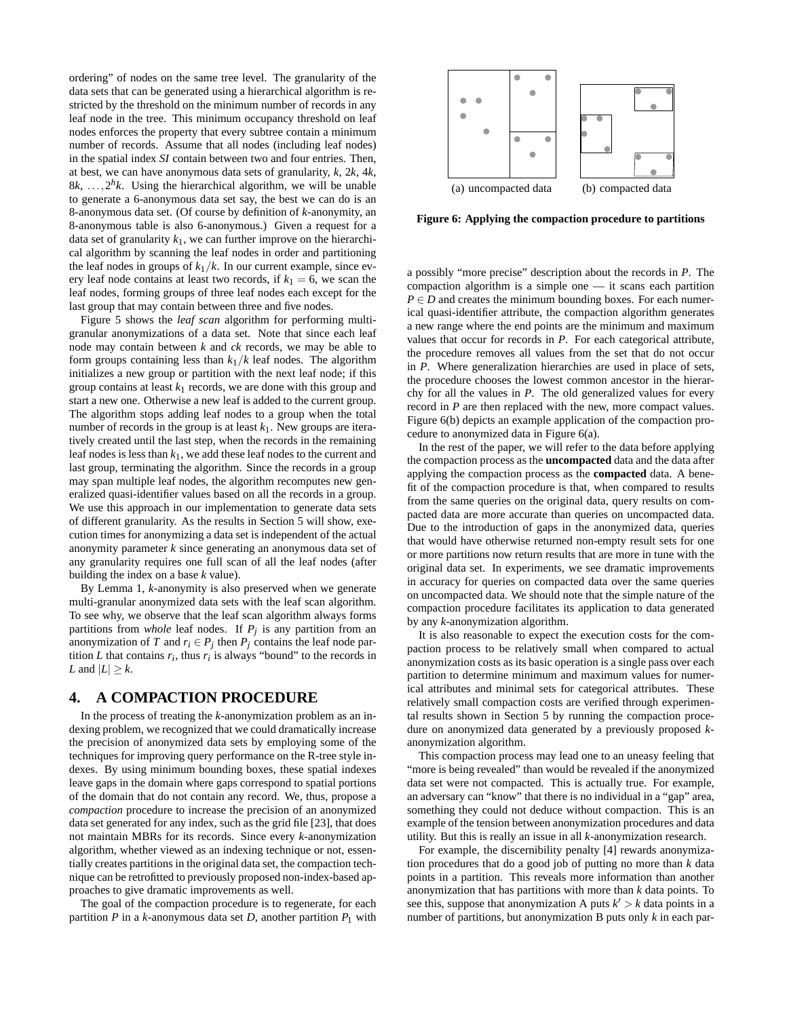ordering" of nodes on the same tree level. The granularity of the data sets that can be generated using a hierarchical algorithm is restricted by the threshold on the minimum number of records in any leaf node in the tree. This minimum occupancy threshold on leaf nodes enforces the property that every subtree contain a minimum number of records. Assume that all nodes (including leaf nodes) in the spatial index *SI* contain between two and four entries. Then, at best, we can have anonymous data sets of granularity, *k*, 2*k*, 4*k*,  $8k, \ldots, 2^h k$ . Using the hierarchical algorithm, we will be unable to generate a 6-anonymous data set say, the best we can do is an 8-anonymous data set. (Of course by definition of *k*-anonymity, an 8-anonymous table is also 6-anonymous.) Given a request for a data set of granularity  $k_1$ , we can further improve on the hierarchical algorithm by scanning the leaf nodes in order and partitioning the leaf nodes in groups of  $k_1/k$ . In our current example, since every leaf node contains at least two records, if  $k_1 = 6$ , we scan the leaf nodes, forming groups of three leaf nodes each except for the last group that may contain between three and five nodes.

Figure 5 shows the *leaf scan* algorithm for performing multigranular anonymizations of a data set. Note that since each leaf node may contain between *k* and *ck* records, we may be able to form groups containing less than *k*1/*k* leaf nodes. The algorithm initializes a new group or partition with the next leaf node; if this group contains at least  $k_1$  records, we are done with this group and start a new one. Otherwise a new leaf is added to the current group. The algorithm stops adding leaf nodes to a group when the total number of records in the group is at least  $k_1$ . New groups are iteratively created until the last step, when the records in the remaining leaf nodes is less than *k*1, we add these leaf nodes to the current and last group, terminating the algorithm. Since the records in a group may span multiple leaf nodes, the algorithm recomputes new generalized quasi-identifier values based on all the records in a group. We use this approach in our implementation to generate data sets of different granularity. As the results in Section 5 will show, execution times for anonymizing a data set is independent of the actual anonymity parameter *k* since generating an anonymous data set of any granularity requires one full scan of all the leaf nodes (after building the index on a base *k* value).

By Lemma 1, *k*-anonymity is also preserved when we generate multi-granular anonymized data sets with the leaf scan algorithm. To see why, we observe that the leaf scan algorithm always forms partitions from *whole* leaf nodes. If *Pj* is any partition from an anonymization of *T* and  $r_i \in P_j$  then  $P_j$  contains the leaf node partition *L* that contains  $r_i$ , thus  $r_i$  is always "bound" to the records in *L* and  $|L| \geq k$ .

# **4. A COMPACTION PROCEDURE**

In the process of treating the *k*-anonymization problem as an indexing problem, we recognized that we could dramatically increase the precision of anonymized data sets by employing some of the techniques for improving query performance on the R-tree style indexes. By using minimum bounding boxes, these spatial indexes leave gaps in the domain where gaps correspond to spatial portions of the domain that do not contain any record. We, thus, propose a *compaction* procedure to increase the precision of an anonymized data set generated for any index, such as the grid file [23], that does not maintain MBRs for its records. Since every *k*-anonymization algorithm, whether viewed as an indexing technique or not, essentially creates partitions in the original data set, the compaction technique can be retrofitted to previously proposed non-index-based approaches to give dramatic improvements as well.

The goal of the compaction procedure is to regenerate, for each partition  $P$  in a  $k$ -anonymous data set  $D$ , another partition  $P_1$  with



**Figure 6: Applying the compaction procedure to partitions**

a possibly "more precise" description about the records in *P*. The compaction algorithm is a simple one — it scans each partition  $P \in D$  and creates the minimum bounding boxes. For each numerical quasi-identifier attribute, the compaction algorithm generates a new range where the end points are the minimum and maximum values that occur for records in *P*. For each categorical attribute, the procedure removes all values from the set that do not occur in *P*. Where generalization hierarchies are used in place of sets, the procedure chooses the lowest common ancestor in the hierarchy for all the values in *P*. The old generalized values for every record in *P* are then replaced with the new, more compact values. Figure 6(b) depicts an example application of the compaction procedure to anonymized data in Figure 6(a).

In the rest of the paper, we will refer to the data before applying the compaction process as the **uncompacted** data and the data after applying the compaction process as the **compacted** data. A benefit of the compaction procedure is that, when compared to results from the same queries on the original data, query results on compacted data are more accurate than queries on uncompacted data. Due to the introduction of gaps in the anonymized data, queries that would have otherwise returned non-empty result sets for one or more partitions now return results that are more in tune with the original data set. In experiments, we see dramatic improvements in accuracy for queries on compacted data over the same queries on uncompacted data. We should note that the simple nature of the compaction procedure facilitates its application to data generated by any *k*-anonymization algorithm.

It is also reasonable to expect the execution costs for the compaction process to be relatively small when compared to actual anonymization costs as its basic operation is a single pass over each partition to determine minimum and maximum values for numerical attributes and minimal sets for categorical attributes. These relatively small compaction costs are verified through experimental results shown in Section 5 by running the compaction procedure on anonymized data generated by a previously proposed *k*anonymization algorithm.

This compaction process may lead one to an uneasy feeling that "more is being revealed" than would be revealed if the anonymized data set were not compacted. This is actually true. For example, an adversary can "know" that there is no individual in a "gap" area, something they could not deduce without compaction. This is an example of the tension between anonymization procedures and data utility. But this is really an issue in all *k*-anonymization research.

For example, the discernibility penalty [4] rewards anonymization procedures that do a good job of putting no more than *k* data points in a partition. This reveals more information than another anonymization that has partitions with more than *k* data points. To see this, suppose that anonymization A puts  $k' > k$  data points in a number of partitions, but anonymization B puts only *k* in each par-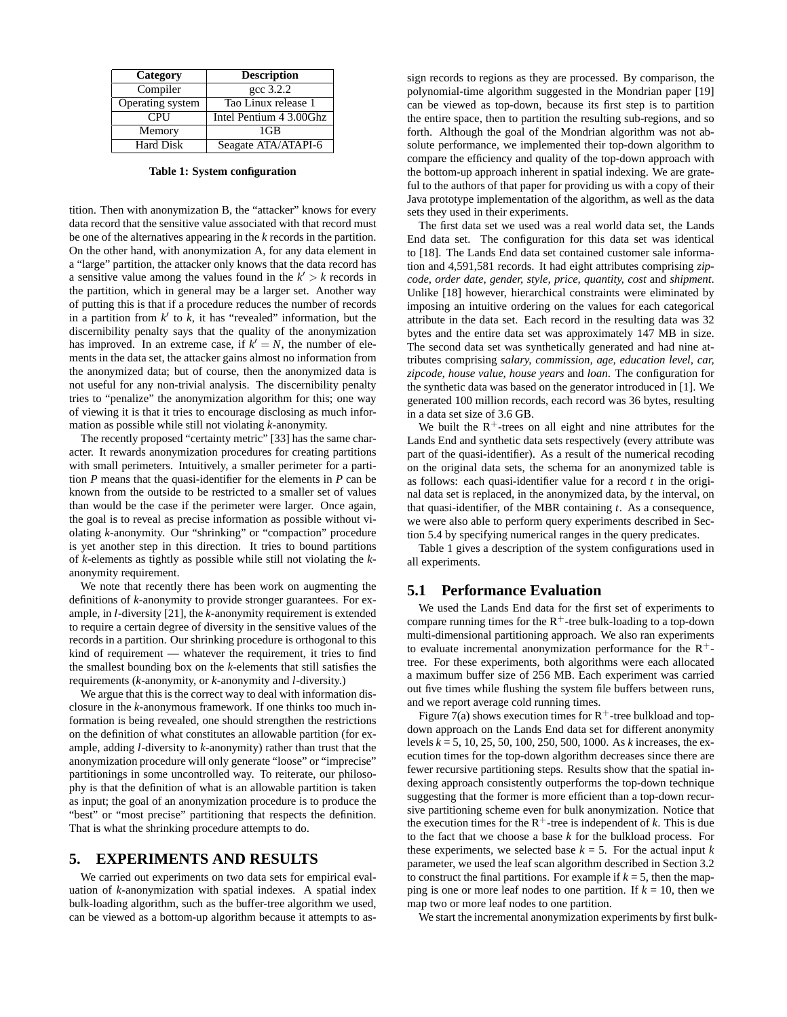| Category         | <b>Description</b>      |  |  |  |
|------------------|-------------------------|--|--|--|
| Compiler         | $\csc 3.2.2$            |  |  |  |
| Operating system | Tao Linux release 1     |  |  |  |
| <b>CPU</b>       | Intel Pentium 4 3.00Ghz |  |  |  |
| Memory           | 1GB                     |  |  |  |
| Hard Disk        | Seagate ATA/ATAPI-6     |  |  |  |

**Table 1: System configuration**

tition. Then with anonymization B, the "attacker" knows for every data record that the sensitive value associated with that record must be one of the alternatives appearing in the *k* records in the partition. On the other hand, with anonymization A, for any data element in a "large" partition, the attacker only knows that the data record has a sensitive value among the values found in the  $k' > k$  records in the partition, which in general may be a larger set. Another way of putting this is that if a procedure reduces the number of records in a partition from  $k'$  to  $k$ , it has "revealed" information, but the discernibility penalty says that the quality of the anonymization has improved. In an extreme case, if  $k' = N$ , the number of elements in the data set, the attacker gains almost no information from the anonymized data; but of course, then the anonymized data is not useful for any non-trivial analysis. The discernibility penalty tries to "penalize" the anonymization algorithm for this; one way of viewing it is that it tries to encourage disclosing as much information as possible while still not violating *k*-anonymity.

The recently proposed "certainty metric" [33] has the same character. It rewards anonymization procedures for creating partitions with small perimeters. Intuitively, a smaller perimeter for a partition *P* means that the quasi-identifier for the elements in *P* can be known from the outside to be restricted to a smaller set of values than would be the case if the perimeter were larger. Once again, the goal is to reveal as precise information as possible without violating *k*-anonymity. Our "shrinking" or "compaction" procedure is yet another step in this direction. It tries to bound partitions of *k*-elements as tightly as possible while still not violating the *k*anonymity requirement.

We note that recently there has been work on augmenting the definitions of *k*-anonymity to provide stronger guarantees. For example, in *l*-diversity [21], the *k*-anonymity requirement is extended to require a certain degree of diversity in the sensitive values of the records in a partition. Our shrinking procedure is orthogonal to this kind of requirement — whatever the requirement, it tries to find the smallest bounding box on the *k*-elements that still satisfies the requirements (*k*-anonymity, or *k*-anonymity and *l*-diversity.)

We argue that this is the correct way to deal with information disclosure in the *k*-anonymous framework. If one thinks too much information is being revealed, one should strengthen the restrictions on the definition of what constitutes an allowable partition (for example, adding *l*-diversity to *k*-anonymity) rather than trust that the anonymization procedure will only generate "loose" or "imprecise" partitionings in some uncontrolled way. To reiterate, our philosophy is that the definition of what is an allowable partition is taken as input; the goal of an anonymization procedure is to produce the "best" or "most precise" partitioning that respects the definition. That is what the shrinking procedure attempts to do.

#### **5. EXPERIMENTS AND RESULTS**

We carried out experiments on two data sets for empirical evaluation of *k*-anonymization with spatial indexes. A spatial index bulk-loading algorithm, such as the buffer-tree algorithm we used, can be viewed as a bottom-up algorithm because it attempts to assign records to regions as they are processed. By comparison, the polynomial-time algorithm suggested in the Mondrian paper [19] can be viewed as top-down, because its first step is to partition the entire space, then to partition the resulting sub-regions, and so forth. Although the goal of the Mondrian algorithm was not absolute performance, we implemented their top-down algorithm to compare the efficiency and quality of the top-down approach with the bottom-up approach inherent in spatial indexing. We are grateful to the authors of that paper for providing us with a copy of their Java prototype implementation of the algorithm, as well as the data sets they used in their experiments.

The first data set we used was a real world data set, the Lands End data set. The configuration for this data set was identical to [18]. The Lands End data set contained customer sale information and 4,591,581 records. It had eight attributes comprising *zipcode, order date, gender, style, price, quantity, cost* and *shipment*. Unlike [18] however, hierarchical constraints were eliminated by imposing an intuitive ordering on the values for each categorical attribute in the data set. Each record in the resulting data was 32 bytes and the entire data set was approximately 147 MB in size. The second data set was synthetically generated and had nine attributes comprising *salary, commission, age, education level, car, zipcode, house value, house years* and *loan*. The configuration for the synthetic data was based on the generator introduced in [1]. We generated 100 million records, each record was 36 bytes, resulting in a data set size of 3.6 GB.

We built the  $R<sup>+</sup>$ -trees on all eight and nine attributes for the Lands End and synthetic data sets respectively (every attribute was part of the quasi-identifier). As a result of the numerical recoding on the original data sets, the schema for an anonymized table is as follows: each quasi-identifier value for a record *t* in the original data set is replaced, in the anonymized data, by the interval, on that quasi-identifier, of the MBR containing *t*. As a consequence, we were also able to perform query experiments described in Section 5.4 by specifying numerical ranges in the query predicates.

Table 1 gives a description of the system configurations used in all experiments.

#### **5.1 Performance Evaluation**

We used the Lands End data for the first set of experiments to compare running times for the  $R^+$ -tree bulk-loading to a top-down multi-dimensional partitioning approach. We also ran experiments to evaluate incremental anonymization performance for the  $R^+$ tree. For these experiments, both algorithms were each allocated a maximum buffer size of 256 MB. Each experiment was carried out five times while flushing the system file buffers between runs, and we report average cold running times.

Figure 7(a) shows execution times for  $R^+$ -tree bulkload and topdown approach on the Lands End data set for different anonymity levels *k* = 5, 10, 25, 50, 100, 250, 500, 1000. As *k* increases, the execution times for the top-down algorithm decreases since there are fewer recursive partitioning steps. Results show that the spatial indexing approach consistently outperforms the top-down technique suggesting that the former is more efficient than a top-down recursive partitioning scheme even for bulk anonymization. Notice that the execution times for the  $R^+$ -tree is independent of *k*. This is due to the fact that we choose a base *k* for the bulkload process. For these experiments, we selected base  $k = 5$ . For the actual input  $k$ parameter, we used the leaf scan algorithm described in Section 3.2 to construct the final partitions. For example if  $k = 5$ , then the mapping is one or more leaf nodes to one partition. If  $k = 10$ , then we map two or more leaf nodes to one partition.

We start the incremental anonymization experiments by first bulk-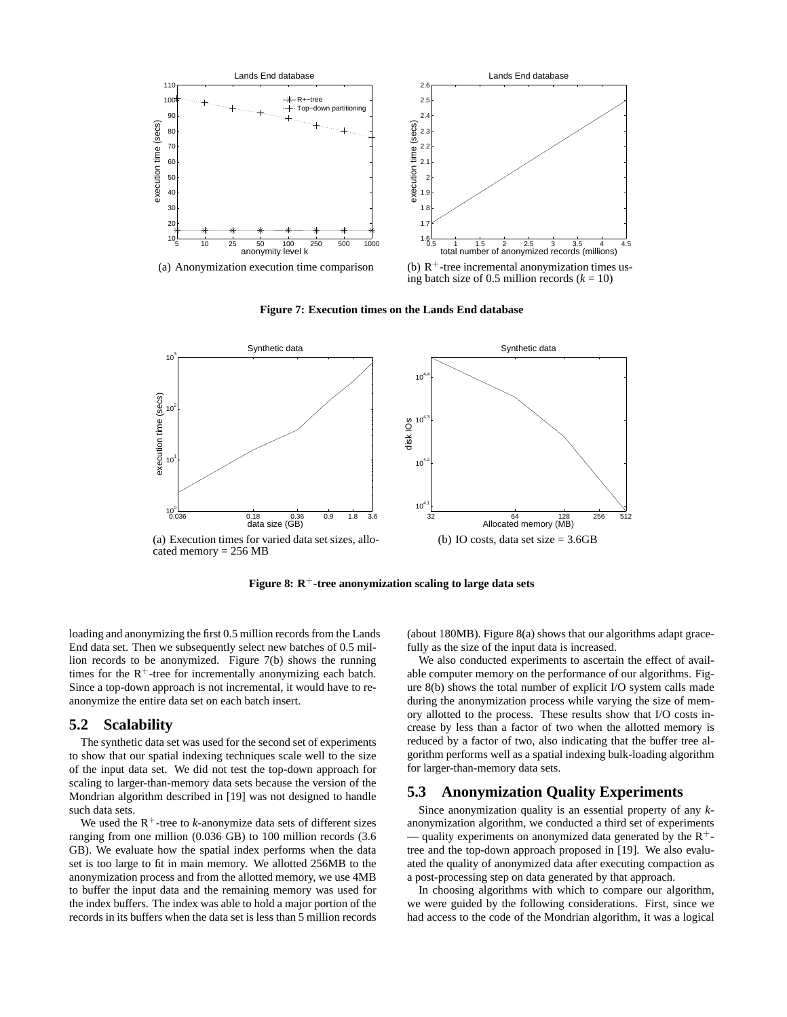

**Figure 7: Execution times on the Lands End database**



**Figure 8: R**+**-tree anonymization scaling to large data sets**

loading and anonymizing the first 0.5 million records from the Lands End data set. Then we subsequently select new batches of 0.5 million records to be anonymized. Figure 7(b) shows the running times for the  $R^+$ -tree for incrementally anonymizing each batch. Since a top-down approach is not incremental, it would have to reanonymize the entire data set on each batch insert.

#### **5.2 Scalability**

The synthetic data set was used for the second set of experiments to show that our spatial indexing techniques scale well to the size of the input data set. We did not test the top-down approach for scaling to larger-than-memory data sets because the version of the Mondrian algorithm described in [19] was not designed to handle such data sets.

We used the  $R^+$ -tree to *k*-anonymize data sets of different sizes ranging from one million (0.036 GB) to 100 million records (3.6 GB). We evaluate how the spatial index performs when the data set is too large to fit in main memory. We allotted 256MB to the anonymization process and from the allotted memory, we use 4MB to buffer the input data and the remaining memory was used for the index buffers. The index was able to hold a major portion of the records in its buffers when the data set is less than 5 million records (about 180MB). Figure 8(a) shows that our algorithms adapt gracefully as the size of the input data is increased.

We also conducted experiments to ascertain the effect of available computer memory on the performance of our algorithms. Figure 8(b) shows the total number of explicit I/O system calls made during the anonymization process while varying the size of memory allotted to the process. These results show that I/O costs increase by less than a factor of two when the allotted memory is reduced by a factor of two, also indicating that the buffer tree algorithm performs well as a spatial indexing bulk-loading algorithm for larger-than-memory data sets.

## **5.3 Anonymization Quality Experiments**

Since anonymization quality is an essential property of any *k*anonymization algorithm, we conducted a third set of experiments — quality experiments on anonymized data generated by the  $R^+$ tree and the top-down approach proposed in [19]. We also evaluated the quality of anonymized data after executing compaction as a post-processing step on data generated by that approach.

In choosing algorithms with which to compare our algorithm, we were guided by the following considerations. First, since we had access to the code of the Mondrian algorithm, it was a logical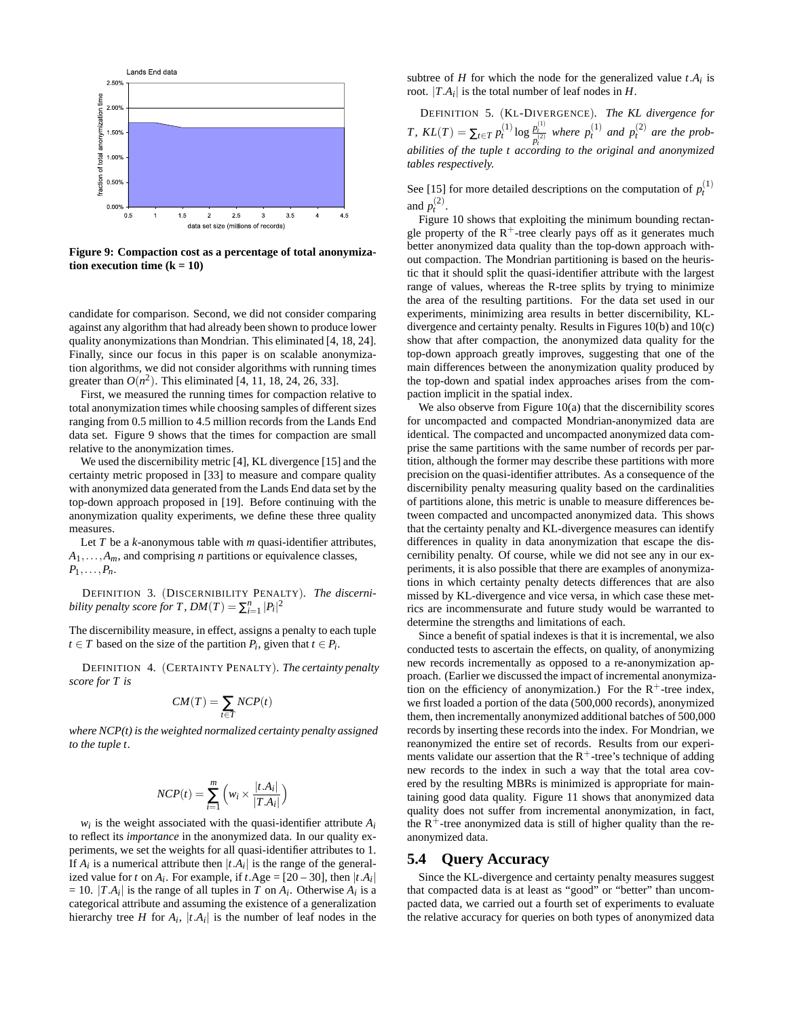

**Figure 9: Compaction cost as a percentage of total anonymization execution time**  $(k = 10)$ 

candidate for comparison. Second, we did not consider comparing against any algorithm that had already been shown to produce lower quality anonymizations than Mondrian. This eliminated [4, 18, 24]. Finally, since our focus in this paper is on scalable anonymization algorithms, we did not consider algorithms with running times greater than  $O(n^2)$ . This eliminated [4, 11, 18, 24, 26, 33].

First, we measured the running times for compaction relative to total anonymization times while choosing samples of different sizes ranging from 0.5 million to 4.5 million records from the Lands End data set. Figure 9 shows that the times for compaction are small relative to the anonymization times.

We used the discernibility metric [4], KL divergence [15] and the certainty metric proposed in [33] to measure and compare quality with anonymized data generated from the Lands End data set by the top-down approach proposed in [19]. Before continuing with the anonymization quality experiments, we define these three quality measures.

Let  $T$  be a  $k$ -anonymous table with  $m$  quasi-identifier attributes,  $A_1, \ldots, A_m$ , and comprising *n* partitions or equivalence classes,  $P_1,\ldots,P_n$ .

DEFINITION 3. (DISCERNIBILITY PENALTY)*. The discernibility penalty score for T,*  $DM(T) = \sum_{i=1}^{n} |P_i|^2$ 

The discernibility measure, in effect, assigns a penalty to each tuple *t* ∈ *T* based on the size of the partition  $P_i$ , given that  $t \in P_i$ .

DEFINITION 4. (CERTAINTY PENALTY)*. The certainty penalty score for T is*

$$
CM(T) = \sum_{t \in T} NCP(t)
$$

*where NCP(t) is the weighted normalized certainty penalty assigned to the tuple t.*

$$
NCP(t) = \sum_{i=1}^{m} \left( w_i \times \frac{|t.A_i|}{|T.A_i|} \right)
$$

 $w_i$  is the weight associated with the quasi-identifier attribute  $A_i$ to reflect its *importance* in the anonymized data. In our quality experiments, we set the weights for all quasi-identifier attributes to 1. If  $A_i$  is a numerical attribute then  $|t.A_i|$  is the range of the generalized value for *t* on  $A_i$ . For example, if *t*.Age =  $[20 - 30]$ , then  $|t.A_i|$  $= 10$ .  $|TA_i|$  is the range of all tuples in *T* on  $A_i$ . Otherwise  $A_i$  is a categorical attribute and assuming the existence of a generalization hierarchy tree *H* for  $A_i$ ,  $|t.A_i|$  is the number of leaf nodes in the

subtree of *H* for which the node for the generalized value  $t.A_i$  is root.  $|T.A_i|$  is the total number of leaf nodes in *H*.

DEFINITION 5. (KL-DIVERGENCE)*. The KL divergence for T*,  $KL(T) = \sum_{t \in T} p_t^{(1)} \log \frac{p_t^{(1)}}{p_t^{(2)}}$  where  $p_t^{(1)}$  and  $p_t^{(2)}$  are the prob*abilities of the tuple t according to the original and anonymized tables respectively.*

See [15] for more detailed descriptions on the computation of  $p_t^{(1)}$ and  $p_t^{(2)}$ .

Figure 10 shows that exploiting the minimum bounding rectangle property of the  $R^+$ -tree clearly pays off as it generates much better anonymized data quality than the top-down approach without compaction. The Mondrian partitioning is based on the heuristic that it should split the quasi-identifier attribute with the largest range of values, whereas the R-tree splits by trying to minimize the area of the resulting partitions. For the data set used in our experiments, minimizing area results in better discernibility, KLdivergence and certainty penalty. Results in Figures 10(b) and 10(c) show that after compaction, the anonymized data quality for the top-down approach greatly improves, suggesting that one of the main differences between the anonymization quality produced by the top-down and spatial index approaches arises from the compaction implicit in the spatial index.

We also observe from Figure 10(a) that the discernibility scores for uncompacted and compacted Mondrian-anonymized data are identical. The compacted and uncompacted anonymized data comprise the same partitions with the same number of records per partition, although the former may describe these partitions with more precision on the quasi-identifier attributes. As a consequence of the discernibility penalty measuring quality based on the cardinalities of partitions alone, this metric is unable to measure differences between compacted and uncompacted anonymized data. This shows that the certainty penalty and KL-divergence measures can identify differences in quality in data anonymization that escape the discernibility penalty. Of course, while we did not see any in our experiments, it is also possible that there are examples of anonymizations in which certainty penalty detects differences that are also missed by KL-divergence and vice versa, in which case these metrics are incommensurate and future study would be warranted to determine the strengths and limitations of each.

Since a benefit of spatial indexes is that it is incremental, we also conducted tests to ascertain the effects, on quality, of anonymizing new records incrementally as opposed to a re-anonymization approach. (Earlier we discussed the impact of incremental anonymization on the efficiency of anonymization.) For the  $R^+$ -tree index, we first loaded a portion of the data (500,000 records), anonymized them, then incrementally anonymized additional batches of 500,000 records by inserting these records into the index. For Mondrian, we reanonymized the entire set of records. Results from our experiments validate our assertion that the  $R^+$ -tree's technique of adding new records to the index in such a way that the total area covered by the resulting MBRs is minimized is appropriate for maintaining good data quality. Figure 11 shows that anonymized data quality does not suffer from incremental anonymization, in fact, the  $R^+$ -tree anonymized data is still of higher quality than the reanonymized data.

#### **5.4 Query Accuracy**

Since the KL-divergence and certainty penalty measures suggest that compacted data is at least as "good" or "better" than uncompacted data, we carried out a fourth set of experiments to evaluate the relative accuracy for queries on both types of anonymized data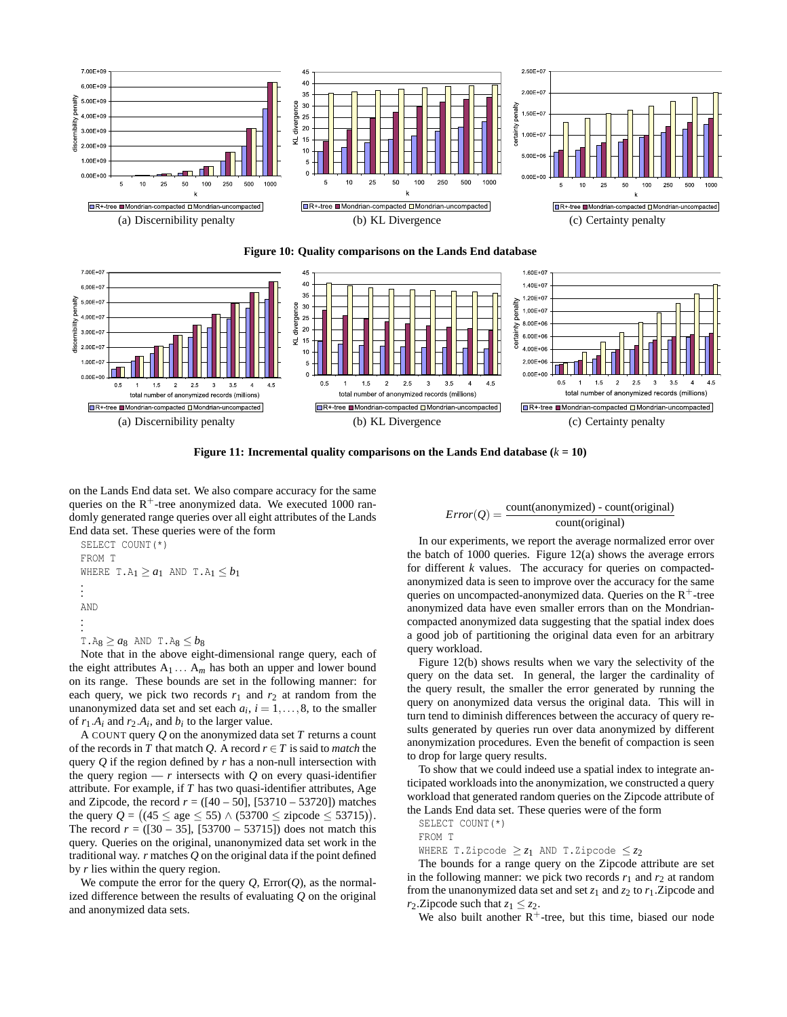





**Figure 11: Incremental quality comparisons on the Lands End database**  $(k = 10)$ 

on the Lands End data set. We also compare accuracy for the same queries on the  $R^+$ -tree anonymized data. We executed 1000 randomly generated range queries over all eight attributes of the Lands End data set. These queries were of the form

```
SELECT COUNT(*)
FROM T
WHERE T.A_1 \ge a_1 AND T.A_1 \le b_1.
.
.
AND
.
.
.
T.A8 \geq a_8 AND T.A8 \leq b_8
```
Note that in the above eight-dimensional range query, each of the eight attributes  $A_1 \ldots A_m$  has both an upper and lower bound on its range. These bounds are set in the following manner: for each query, we pick two records  $r_1$  and  $r_2$  at random from the unanonymized data set and set each  $a_i$ ,  $i = 1, \ldots, 8$ , to the smaller of  $r_1.A_i$  and  $r_2.A_i$ , and  $b_i$  to the larger value.

A COUNT query *Q* on the anonymized data set *T* returns a count of the records in *T* that match *Q*. A record  $r \in T$  is said to *match* the query *Q* if the region defined by *r* has a non-null intersection with the query region  $-r$  intersects with  $Q$  on every quasi-identifier attribute. For example, if *T* has two quasi-identifier attributes, Age and Zipcode, the record  $r = ([40 - 50], [53710 - 53720])$  matches the query  $Q = \left( (45 \le \text{age} \le 55) \land (53700 \le \text{zipcode} \le 53715) \right)$ . The record  $r = (130 - 35)$ ,  $[53700 - 53715]$  does not match this query. Queries on the original, unanonymized data set work in the traditional way. *r* matches *Q* on the original data if the point defined by *r* lies within the query region.

We compute the error for the query  $Q$ ,  $Error(Q)$ , as the normalized difference between the results of evaluating *Q* on the original and anonymized data sets.

$$
Error(Q) = \frac{count(anonymized) - count(original)}{count(original)}
$$

In our experiments, we report the average normalized error over the batch of 1000 queries. Figure 12(a) shows the average errors for different *k* values. The accuracy for queries on compactedanonymized data is seen to improve over the accuracy for the same queries on uncompacted-anonymized data. Queries on the  $R<sup>+</sup>$ -tree anonymized data have even smaller errors than on the Mondriancompacted anonymized data suggesting that the spatial index does a good job of partitioning the original data even for an arbitrary query workload.

Figure 12(b) shows results when we vary the selectivity of the query on the data set. In general, the larger the cardinality of the query result, the smaller the error generated by running the query on anonymized data versus the original data. This will in turn tend to diminish differences between the accuracy of query results generated by queries run over data anonymized by different anonymization procedures. Even the benefit of compaction is seen to drop for large query results.

To show that we could indeed use a spatial index to integrate anticipated workloads into the anonymization, we constructed a query workload that generated random queries on the Zipcode attribute of the Lands End data set. These queries were of the form

SELECT COUNT(\*)

```
FROM T
```
WHERE T.Zipcode  $\geq z_1$  AND T.Zipcode  $\leq z_2$ 

The bounds for a range query on the Zipcode attribute are set in the following manner: we pick two records  $r_1$  and  $r_2$  at random from the unanonymized data set and set  $z_1$  and  $z_2$  to  $r_1$ . Zipcode and *r*<sub>2</sub>. Zipcode such that  $z_1 \leq z_2$ .

We also built another  $R^+$ -tree, but this time, biased our node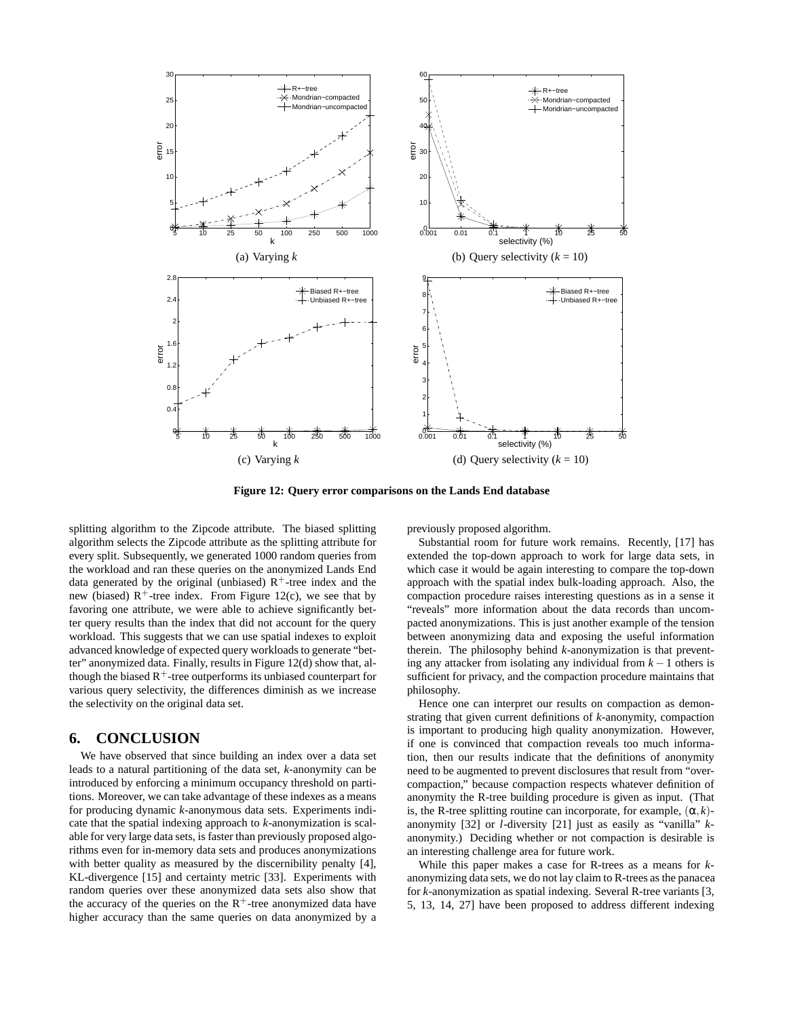

**Figure 12: Query error comparisons on the Lands End database**

splitting algorithm to the Zipcode attribute. The biased splitting algorithm selects the Zipcode attribute as the splitting attribute for every split. Subsequently, we generated 1000 random queries from the workload and ran these queries on the anonymized Lands End data generated by the original (unbiased)  $R^+$ -tree index and the new (biased)  $R^+$ -tree index. From Figure 12(c), we see that by favoring one attribute, we were able to achieve significantly better query results than the index that did not account for the query workload. This suggests that we can use spatial indexes to exploit advanced knowledge of expected query workloads to generate "better" anonymized data. Finally, results in Figure 12(d) show that, although the biased  $R<sup>+</sup>$ -tree outperforms its unbiased counterpart for various query selectivity, the differences diminish as we increase the selectivity on the original data set.

# **6. CONCLUSION**

We have observed that since building an index over a data set leads to a natural partitioning of the data set, *k*-anonymity can be introduced by enforcing a minimum occupancy threshold on partitions. Moreover, we can take advantage of these indexes as a means for producing dynamic *k*-anonymous data sets. Experiments indicate that the spatial indexing approach to *k*-anonymization is scalable for very large data sets, is faster than previously proposed algorithms even for in-memory data sets and produces anonymizations with better quality as measured by the discernibility penalty [4], KL-divergence [15] and certainty metric [33]. Experiments with random queries over these anonymized data sets also show that the accuracy of the queries on the  $R^+$ -tree anonymized data have higher accuracy than the same queries on data anonymized by a

previously proposed algorithm.

Substantial room for future work remains. Recently, [17] has extended the top-down approach to work for large data sets, in which case it would be again interesting to compare the top-down approach with the spatial index bulk-loading approach. Also, the compaction procedure raises interesting questions as in a sense it "reveals" more information about the data records than uncompacted anonymizations. This is just another example of the tension between anonymizing data and exposing the useful information therein. The philosophy behind *k*-anonymization is that preventing any attacker from isolating any individual from *k* −1 others is sufficient for privacy, and the compaction procedure maintains that philosophy.

Hence one can interpret our results on compaction as demonstrating that given current definitions of *k*-anonymity, compaction is important to producing high quality anonymization. However, if one is convinced that compaction reveals too much information, then our results indicate that the definitions of anonymity need to be augmented to prevent disclosures that result from "overcompaction," because compaction respects whatever definition of anonymity the R-tree building procedure is given as input. (That is, the R-tree splitting routine can incorporate, for example,  $(\alpha, k)$ anonymity [32] or *l*-diversity [21] just as easily as "vanilla" *k*anonymity.) Deciding whether or not compaction is desirable is an interesting challenge area for future work.

While this paper makes a case for R-trees as a means for *k*anonymizing data sets, we do not lay claim to R-trees as the panacea for *k*-anonymization as spatial indexing. Several R-tree variants [3, 5, 13, 14, 27] have been proposed to address different indexing